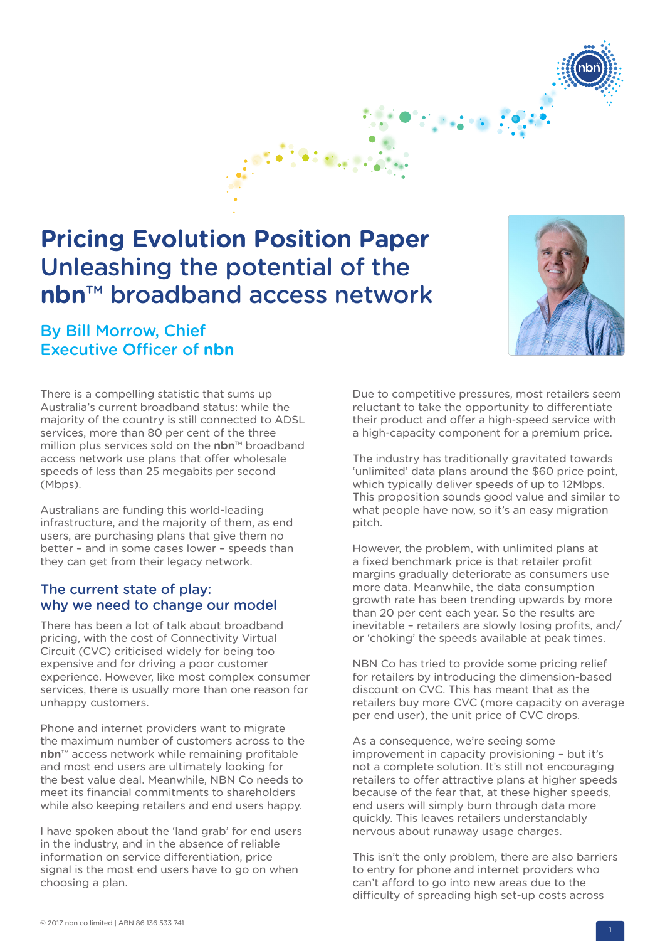

# **Pricing Evolution Position Paper**  Unleashing the potential of the **nbn**™ broadband access network

# By Bill Morrow, Chief Executive Officer of **nbn**



There is a compelling statistic that sums up Australia's current broadband status: while the majority of the country is still connected to ADSL services, more than 80 per cent of the three million plus services sold on the **nbn**™ broadband access network use plans that offer wholesale speeds of less than 25 megabits per second (Mbps).

Australians are funding this world-leading infrastructure, and the majority of them, as end users, are purchasing plans that give them no better – and in some cases lower – speeds than they can get from their legacy network.

## The current state of play: why we need to change our model

There has been a lot of talk about broadband pricing, with the cost of Connectivity Virtual Circuit (CVC) criticised widely for being too expensive and for driving a poor customer experience. However, like most complex consumer services, there is usually more than one reason for unhappy customers.

Phone and internet providers want to migrate the maximum number of customers across to the **nbn**™ access network while remaining profitable and most end users are ultimately looking for the best value deal. Meanwhile, NBN Co needs to meet its financial commitments to shareholders while also keeping retailers and end users happy.

I have spoken about the 'land grab' for end users in the industry, and in the absence of reliable information on service differentiation, price signal is the most end users have to go on when choosing a plan.

Due to competitive pressures, most retailers seem reluctant to take the opportunity to differentiate their product and offer a high-speed service with a high-capacity component for a premium price.

The industry has traditionally gravitated towards 'unlimited' data plans around the \$60 price point, which typically deliver speeds of up to 12Mbps. This proposition sounds good value and similar to what people have now, so it's an easy migration pitch.

However, the problem, with unlimited plans at a fixed benchmark price is that retailer profit margins gradually deteriorate as consumers use more data. Meanwhile, the data consumption growth rate has been trending upwards by more than 20 per cent each year. So the results are inevitable – retailers are slowly losing profits, and/ or 'choking' the speeds available at peak times.

NBN Co has tried to provide some pricing relief for retailers by introducing the dimension-based discount on CVC. This has meant that as the retailers buy more CVC (more capacity on average per end user), the unit price of CVC drops.

As a consequence, we're seeing some improvement in capacity provisioning – but it's not a complete solution. It's still not encouraging retailers to offer attractive plans at higher speeds because of the fear that, at these higher speeds, end users will simply burn through data more quickly. This leaves retailers understandably nervous about runaway usage charges.

This isn't the only problem, there are also barriers to entry for phone and internet providers who can't afford to go into new areas due to the difficulty of spreading high set-up costs across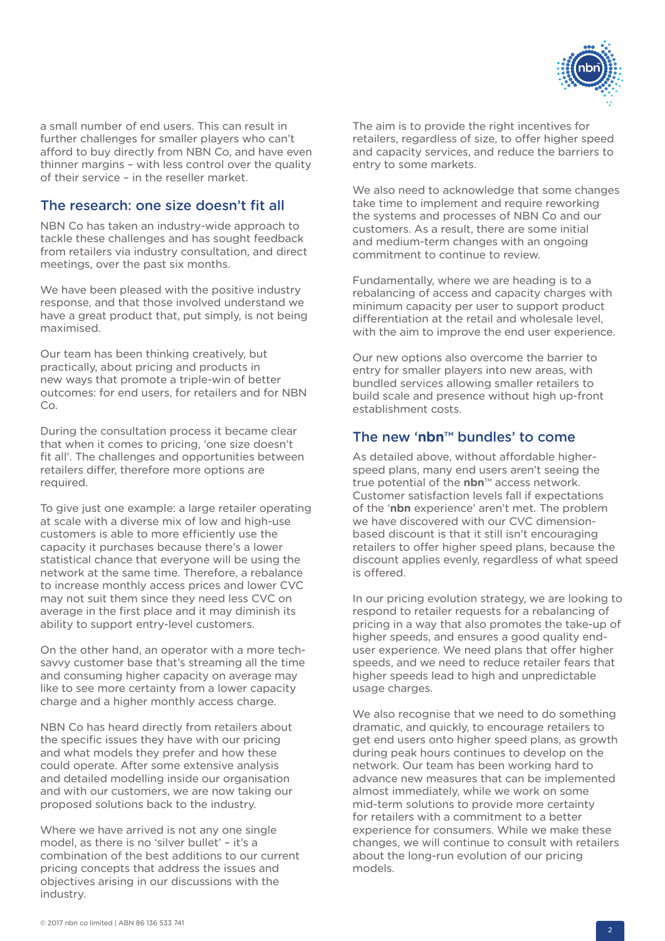

a small number of end users. This can result in further challenges for smaller players who can't afford to buy directly from NBN Co, and have even thinner margins – with less control over the quality of their service – in the reseller market.

## The research: one size doesn't fit all

NBN Co has taken an industry-wide approach to tackle these challenges and has sought feedback from retailers via industry consultation, and direct meetings, over the past six months.

We have been pleased with the positive industry response, and that those involved understand we have a great product that, put simply, is not being maximised.

Our team has been thinking creatively, but practically, about pricing and products in new ways that promote a triple-win of better outcomes: for end users, for retailers and for NBN Co.

During the consultation process it became clear that when it comes to pricing, 'one size doesn't fit all'. The challenges and opportunities between retailers differ, therefore more options are required.

To give just one example: a large retailer operating at scale with a diverse mix of low and high-use customers is able to more efficiently use the capacity it purchases because there's a lower statistical chance that everyone will be using the network at the same time. Therefore, a rebalance to increase monthly access prices and lower CVC may not suit them since they need less CVC on average in the first place and it may diminish its ability to support entry-level customers.

On the other hand, an operator with a more techsavvy customer base that's streaming all the time and consuming higher capacity on average may like to see more certainty from a lower capacity charge and a higher monthly access charge.

NBN Co has heard directly from retailers about the specific issues they have with our pricing and what models they prefer and how these could operate. After some extensive analysis and detailed modelling inside our organisation and with our customers, we are now taking our proposed solutions back to the industry.

Where we have arrived is not any one single model, as there is no 'silver bullet' – it's a combination of the best additions to our current pricing concepts that address the issues and objectives arising in our discussions with the industry.

The aim is to provide the right incentives for retailers, regardless of size, to offer higher speed and capacity services, and reduce the barriers to entry to some markets.

We also need to acknowledge that some changes take time to implement and require reworking the systems and processes of NBN Co and our customers. As a result, there are some initial and medium-term changes with an ongoing commitment to continue to review.

Fundamentally, where we are heading is to a rebalancing of access and capacity charges with minimum capacity per user to support product differentiation at the retail and wholesale level, with the aim to improve the end user experience.

Our new options also overcome the barrier to entry for smaller players into new areas, with bundled services allowing smaller retailers to build scale and presence without high up-front establishment costs.

# The new '**nbn**™ bundles' to come

As detailed above, without affordable higherspeed plans, many end users aren't seeing the true potential of the **nbn**™ access network. Customer satisfaction levels fall if expectations of the '**nbn** experience' aren't met. The problem we have discovered with our CVC dimensionbased discount is that it still isn't encouraging retailers to offer higher speed plans, because the discount applies evenly, regardless of what speed is offered.

In our pricing evolution strategy, we are looking to respond to retailer requests for a rebalancing of pricing in a way that also promotes the take-up of higher speeds, and ensures a good quality enduser experience. We need plans that offer higher speeds, and we need to reduce retailer fears that higher speeds lead to high and unpredictable usage charges.

We also recognise that we need to do something dramatic, and quickly, to encourage retailers to get end users onto higher speed plans, as growth during peak hours continues to develop on the network. Our team has been working hard to advance new measures that can be implemented almost immediately, while we work on some mid-term solutions to provide more certainty for retailers with a commitment to a better experience for consumers. While we make these changes, we will continue to consult with retailers about the long-run evolution of our pricing models.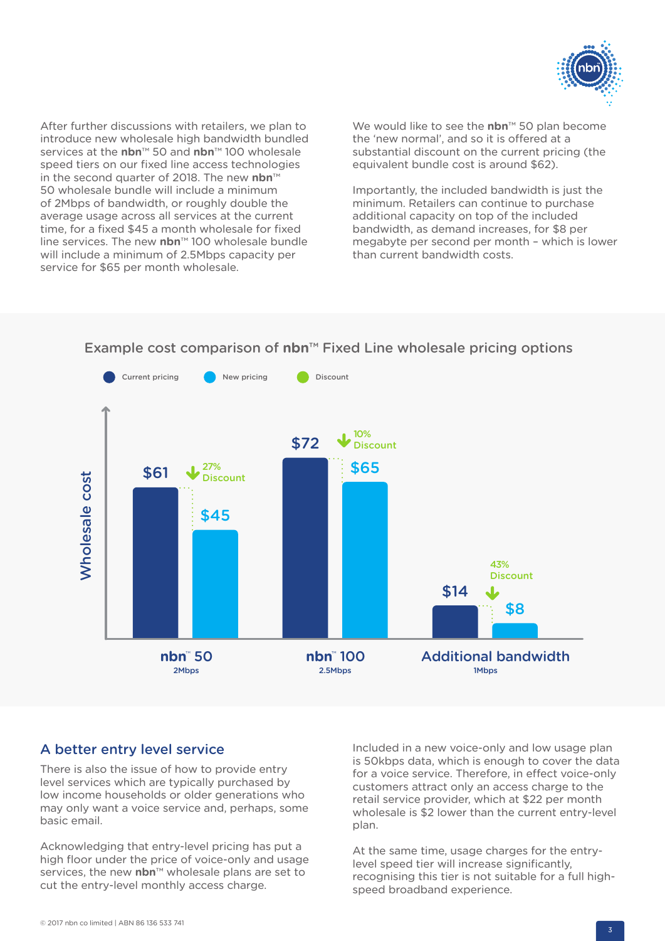

After further discussions with retailers, we plan to introduce new wholesale high bandwidth bundled services at the **nbn**™ 50 and **nbn**™ 100 wholesale speed tiers on our fixed line access technologies in the second quarter of 2018. The new **nbn**™ 50 wholesale bundle will include a minimum of 2Mbps of bandwidth, or roughly double the average usage across all services at the current time, for a fixed \$45 a month wholesale for fixed line services. The new **nbn**™ 100 wholesale bundle will include a minimum of 2.5Mbps capacity per service for \$65 per month wholesale.

We would like to see the **nbn**™ 50 plan become the 'new normal', and so it is offered at a substantial discount on the current pricing (the equivalent bundle cost is around \$62).

Importantly, the included bandwidth is just the minimum. Retailers can continue to purchase additional capacity on top of the included bandwidth, as demand increases, for \$8 per megabyte per second per month – which is lower than current bandwidth costs.



# Fixed Line wholesale pricing options Example cost comparison of **nbn**™ Fixed Line wholesale pricing options

## A better entry level service

There is also the issue of how to provide entry level services which are typically purchased by low income households or older generations who may only want a voice service and, perhaps, some basic email.

Acknowledging that entry-level pricing has put a high floor under the price of voice-only and usage services, the new **nbn**™ wholesale plans are set to cut the entry-level monthly access charge.

Included in a new voice-only and low usage plan is 50kbps data, which is enough to cover the data for a voice service. Therefore, in effect voice-only customers attract only an access charge to the retail service provider, which at \$22 per month wholesale is \$2 lower than the current entry-level plan.

At the same time, usage charges for the entrylevel speed tier will increase significantly, recognising this tier is not suitable for a full highspeed broadband experience.